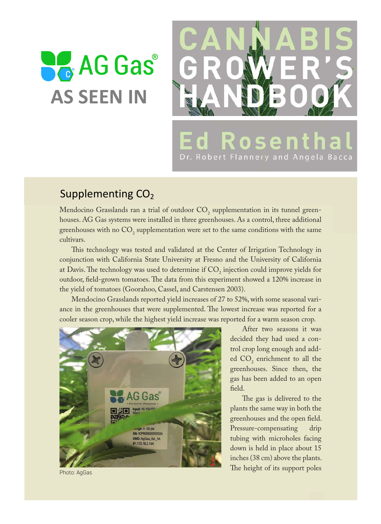## $\Box$ it cell in the plants won



## $\textsf{Supplementary} \text{ } \textsf{CO}_2$

Mendocino Grasslands ran a trial of outdoor  $CO_2$  supplementation in its tunnel greenhouses. AG Gas systems were installed in three greenhouses. As a control, three additional greenhouses with no  $\mathrm{CO}_2$  supplementation were set to the same conditions with the same cultivars.

This technology was tested and validated at the Center of Irrigation Technology in conjunction with California State University at Fresno and the University of California at Davis. The technology was used to determine if  $\mathop{\rm CO}_{2}$  injection could improve yields for outdoor, field-grown tomatoes. The data from this experiment showed a 120% increase in the yield of tomatoes (Goorahoo, Cassel, and Carstensen 2003).

Mendocino Grasslands reported yield increases of 27 to 52%, with some seasonal variance in the greenhouses that were supplemented. The lowest increase was reported for a cooler season crop, while the highest yield increase was reported for a warm season crop.



After two seasons it was decided they had used a control crop long enough and added  $CO_2$  enrichment to all the greenhouses. Since then, the gas has been added to an open feld.

The gas is delivered to the plants the same way in both the greenhouses and the open feld. Pressure-compensating drip tubing with microholes facing down is held in place about 15 inches (38 cm) above the plants. The height of its support poles

Photo: AgGas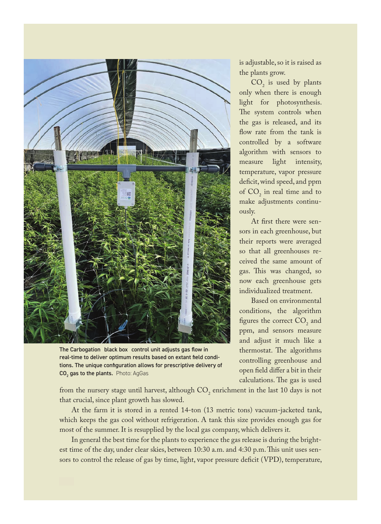

The Carbogation black box control unit adjusts gas flow in real-time to deliver optimum results based on extant field conditions. The unique configuration allows for prescriptive delivery of  ${\sf CO}_2$  gas to the plants. Photo: AgGas

is adjustable, so it is raised as the plants grow.

 $CO<sub>2</sub>$  is used by plants only when there is enough light for photosynthesis. The system controls when the gas is released, and its flow rate from the tank is controlled by a software algorithm with sensors to measure light intensity, temperature, vapor pressure deficit, wind speed, and ppm of  $CO_2$  in real time and to make adjustments continuously.

At frst there were sensors in each greenhouse, but their reports were averaged so that all greenhouses received the same amount of gas. This was changed, so now each greenhouse gets individualized treatment.

Based on environmental conditions, the algorithm figures the correct  $CO<sub>2</sub>$  and ppm, and sensors measure and adjust it much like a thermostat. The algorithms controlling greenhouse and open feld difer a bit in their calculations. The gas is used

from the nursery stage until harvest, although  $\mathrm{CO}_2$  enrichment in the last 10 days is not that crucial, since plant growth has slowed.

At the farm it is stored in a rented 14-ton (13 metric tons) vacuum-jacketed tank, which keeps the gas cool without refrigeration. A tank this size provides enough gas for most of the summer. It is resupplied by the local gas company, which delivers it.

In general the best time for the plants to experience the gas release is during the brightest time of the day, under clear skies, between 10:30 a.m. and 4:30 p.m. Tis unit uses sensors to control the release of gas by time, light, vapor pressure deficit (VPD), temperature,